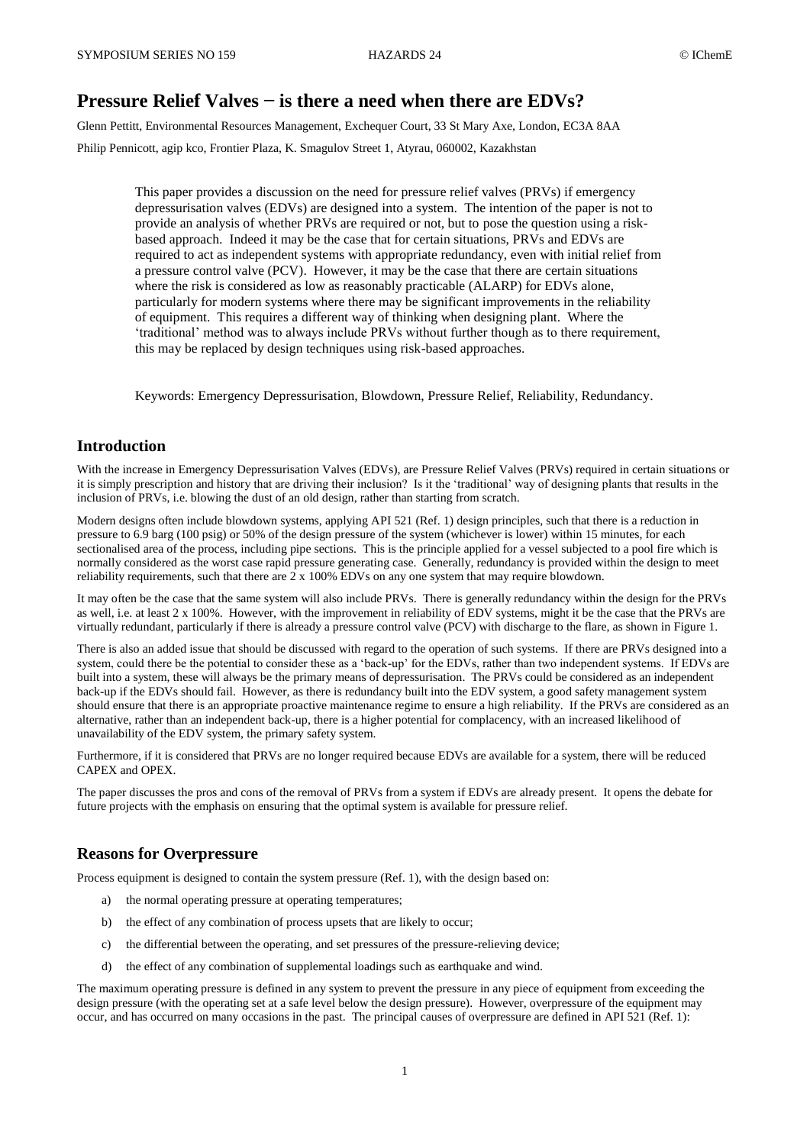# **Pressure Relief Valves − is there a need when there are EDVs?**

Glenn Pettitt, Environmental Resources Management, Exchequer Court, 33 St Mary Axe, London, EC3A 8AA Philip Pennicott, agip kco, Frontier Plaza, K. Smagulov Street 1, Atyrau, 060002, Kazakhstan

> This paper provides a discussion on the need for pressure relief valves (PRVs) if emergency depressurisation valves (EDVs) are designed into a system. The intention of the paper is not to provide an analysis of whether PRVs are required or not, but to pose the question using a riskbased approach. Indeed it may be the case that for certain situations, PRVs and EDVs are required to act as independent systems with appropriate redundancy, even with initial relief from a pressure control valve (PCV). However, it may be the case that there are certain situations where the risk is considered as low as reasonably practicable (ALARP) for EDVs alone, particularly for modern systems where there may be significant improvements in the reliability of equipment. This requires a different way of thinking when designing plant. Where the 'traditional' method was to always include PRVs without further though as to there requirement, this may be replaced by design techniques using risk-based approaches.

Keywords: Emergency Depressurisation, Blowdown, Pressure Relief, Reliability, Redundancy.

## **Introduction**

With the increase in Emergency Depressurisation Valves (EDVs), are Pressure Relief Valves (PRVs) required in certain situations or it is simply prescription and history that are driving their inclusion? Is it the 'traditional' way of designing plants that results in the inclusion of PRVs, i.e. blowing the dust of an old design, rather than starting from scratch.

Modern designs often include blowdown systems, applying API 521 (Ref. 1) design principles, such that there is a reduction in pressure to 6.9 barg (100 psig) or 50% of the design pressure of the system (whichever is lower) within 15 minutes, for each sectionalised area of the process, including pipe sections. This is the principle applied for a vessel subjected to a pool fire which is normally considered as the worst case rapid pressure generating case. Generally, redundancy is provided within the design to meet reliability requirements, such that there are 2 x 100% EDVs on any one system that may require blowdown.

It may often be the case that the same system will also include PRVs. There is generally redundancy within the design for the PRVs as well, i.e. at least 2 x 100%. However, with the improvement in reliability of EDV systems, might it be the case that the PRVs are virtually redundant, particularly if there is already a pressure control valve (PCV) with discharge to the flare, as shown in Figure 1.

There is also an added issue that should be discussed with regard to the operation of such systems. If there are PRVs designed into a system, could there be the potential to consider these as a 'back-up' for the EDVs, rather than two independent systems. If EDVs are built into a system, these will always be the primary means of depressurisation. The PRVs could be considered as an independent back-up if the EDVs should fail. However, as there is redundancy built into the EDV system, a good safety management system should ensure that there is an appropriate proactive maintenance regime to ensure a high reliability. If the PRVs are considered as an alternative, rather than an independent back-up, there is a higher potential for complacency, with an increased likelihood of unavailability of the EDV system, the primary safety system.

Furthermore, if it is considered that PRVs are no longer required because EDVs are available for a system, there will be reduced CAPEX and OPEX.

The paper discusses the pros and cons of the removal of PRVs from a system if EDVs are already present. It opens the debate for future projects with the emphasis on ensuring that the optimal system is available for pressure relief.

## **Reasons for Overpressure**

Process equipment is designed to contain the system pressure (Ref. 1), with the design based on:

- a) the normal operating pressure at operating temperatures;
- b) the effect of any combination of process upsets that are likely to occur;
- c) the differential between the operating, and set pressures of the pressure-relieving device;
- d) the effect of any combination of supplemental loadings such as earthquake and wind.

The maximum operating pressure is defined in any system to prevent the pressure in any piece of equipment from exceeding the design pressure (with the operating set at a safe level below the design pressure). However, overpressure of the equipment may occur, and has occurred on many occasions in the past. The principal causes of overpressure are defined in API 521 (Ref. 1):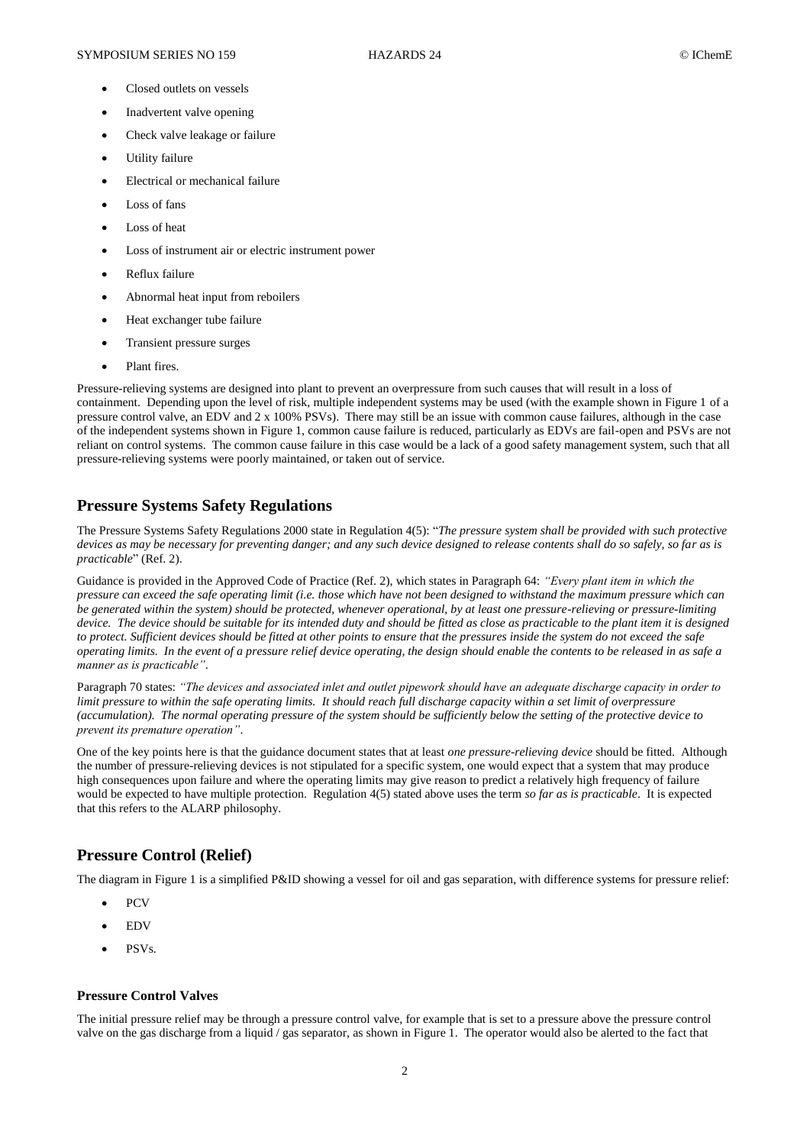- Closed outlets on vessels
- Inadvertent valve opening
- Check valve leakage or failure
- Utility failure
- Electrical or mechanical failure
- Loss of fans
- Loss of heat
- Loss of instrument air or electric instrument power
- Reflux failure
- Abnormal heat input from reboilers
- Heat exchanger tube failure
- Transient pressure surges
- Plant fires.

Pressure-relieving systems are designed into plant to prevent an overpressure from such causes that will result in a loss of containment. Depending upon the level of risk, multiple independent systems may be used (with the example shown in Figure 1 of a pressure control valve, an EDV and 2 x 100% PSVs). There may still be an issue with common cause failures, although in the case of the independent systems shown in Figure 1, common cause failure is reduced, particularly as EDVs are fail-open and PSVs are not reliant on control systems. The common cause failure in this case would be a lack of a good safety management system, such that all pressure-relieving systems were poorly maintained, or taken out of service.

## **Pressure Systems Safety Regulations**

The Pressure Systems Safety Regulations 2000 state in Regulation 4(5): "*The pressure system shall be provided with such protective devices as may be necessary for preventing danger; and any such device designed to release contents shall do so safely, so far as is practicable*" (Ref. 2).

Guidance is provided in the Approved Code of Practice (Ref. 2), which states in Paragraph 64: *"Every plant item in which the pressure can exceed the safe operating limit (i.e. those which have not been designed to withstand the maximum pressure which can be generated within the system) should be protected, whenever operational, by at least one pressure-relieving or pressure-limiting device. The device should be suitable for its intended duty and should be fitted as close as practicable to the plant item it is designed to protect. Sufficient devices should be fitted at other points to ensure that the pressures inside the system do not exceed the safe operating limits. In the event of a pressure relief device operating, the design should enable the contents to be released in as safe a manner as is practicable"*.

Paragraph 70 states: *"The devices and associated inlet and outlet pipework should have an adequate discharge capacity in order to limit pressure to within the safe operating limits. It should reach full discharge capacity within a set limit of overpressure (accumulation). The normal operating pressure of the system should be sufficiently below the setting of the protective device to prevent its premature operation"*.

One of the key points here is that the guidance document states that at least *one pressure-relieving device* should be fitted. Although the number of pressure-relieving devices is not stipulated for a specific system, one would expect that a system that may produce high consequences upon failure and where the operating limits may give reason to predict a relatively high frequency of failure would be expected to have multiple protection. Regulation 4(5) stated above uses the term *so far as is practicable*. It is expected that this refers to the ALARP philosophy.

## **Pressure Control (Relief)**

The diagram in Figure 1 is a simplified P&ID showing a vessel for oil and gas separation, with difference systems for pressure relief:

- **PCV**
- EDV
- PSVs.

### **Pressure Control Valves**

The initial pressure relief may be through a pressure control valve, for example that is set to a pressure above the pressure control valve on the gas discharge from a liquid / gas separator, as shown in Figure 1. The operator would also be alerted to the fact that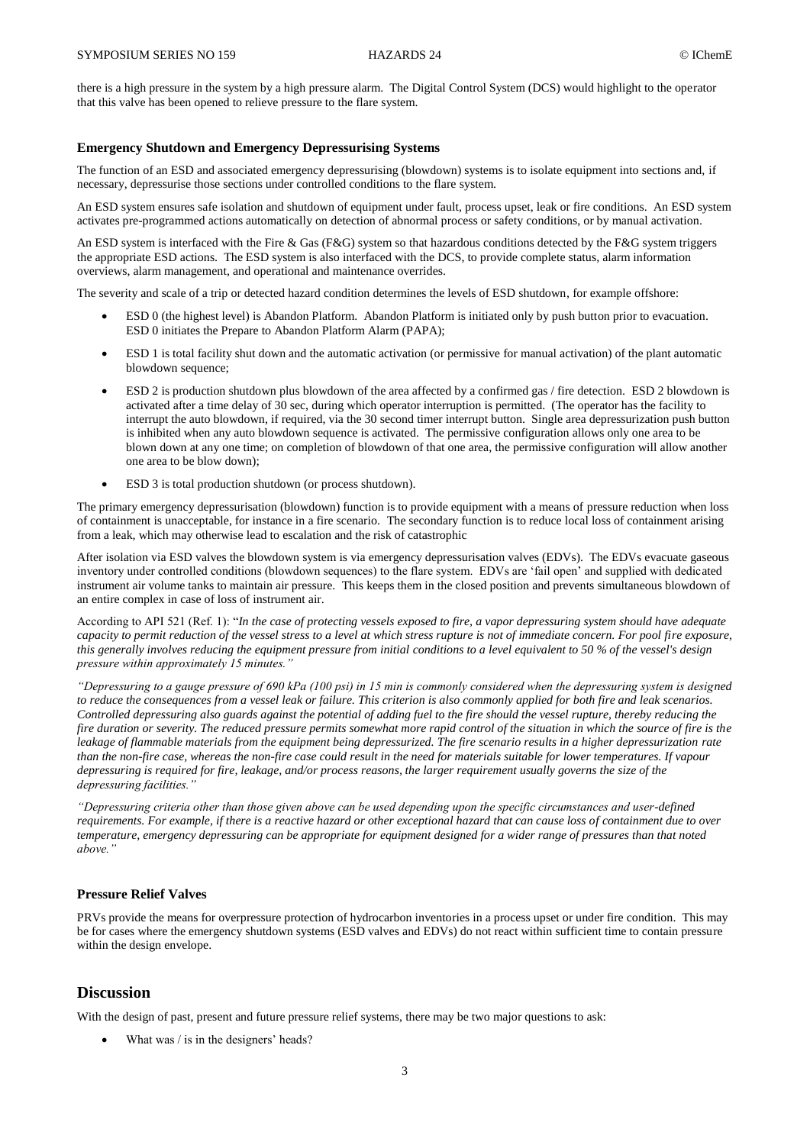there is a high pressure in the system by a high pressure alarm. The Digital Control System (DCS) would highlight to the operator that this valve has been opened to relieve pressure to the flare system.

### **Emergency Shutdown and Emergency Depressurising Systems**

The function of an ESD and associated emergency depressurising (blowdown) systems is to isolate equipment into sections and, if necessary, depressurise those sections under controlled conditions to the flare system.

An ESD system ensures safe isolation and shutdown of equipment under fault, process upset, leak or fire conditions. An ESD system activates pre-programmed actions automatically on detection of abnormal process or safety conditions, or by manual activation.

An ESD system is interfaced with the Fire & Gas (F&G) system so that hazardous conditions detected by the F&G system triggers the appropriate ESD actions. The ESD system is also interfaced with the DCS, to provide complete status, alarm information overviews, alarm management, and operational and maintenance overrides.

The severity and scale of a trip or detected hazard condition determines the levels of ESD shutdown, for example offshore:

- ESD 0 (the highest level) is Abandon Platform. Abandon Platform is initiated only by push button prior to evacuation. ESD 0 initiates the Prepare to Abandon Platform Alarm (PAPA);
- ESD 1 is total facility shut down and the automatic activation (or permissive for manual activation) of the plant automatic blowdown sequence;
- ESD 2 is production shutdown plus blowdown of the area affected by a confirmed gas / fire detection. ESD 2 blowdown is activated after a time delay of 30 sec, during which operator interruption is permitted. (The operator has the facility to interrupt the auto blowdown, if required, via the 30 second timer interrupt button. Single area depressurization push button is inhibited when any auto blowdown sequence is activated. The permissive configuration allows only one area to be blown down at any one time; on completion of blowdown of that one area, the permissive configuration will allow another one area to be blow down);
- ESD 3 is total production shutdown (or process shutdown).

The primary emergency depressurisation (blowdown) function is to provide equipment with a means of pressure reduction when loss of containment is unacceptable, for instance in a fire scenario. The secondary function is to reduce local loss of containment arising from a leak, which may otherwise lead to escalation and the risk of catastrophic

After isolation via ESD valves the blowdown system is via emergency depressurisation valves (EDVs). The EDVs evacuate gaseous inventory under controlled conditions (blowdown sequences) to the flare system. EDVs are 'fail open' and supplied with dedicated instrument air volume tanks to maintain air pressure. This keeps them in the closed position and prevents simultaneous blowdown of an entire complex in case of loss of instrument air.

According to API 521 (Ref. 1): "*In the case of protecting vessels exposed to fire, a vapor depressuring system should have adequate capacity to permit reduction of the vessel stress to a level at which stress rupture is not of immediate concern. For pool fire exposure, this generally involves reducing the equipment pressure from initial conditions to a level equivalent to 50 % of the vessel's design pressure within approximately 15 minutes."* 

*"Depressuring to a gauge pressure of 690 kPa (100 psi) in 15 min is commonly considered when the depressuring system is designed to reduce the consequences from a vessel leak or failure. This criterion is also commonly applied for both fire and leak scenarios. Controlled depressuring also guards against the potential of adding fuel to the fire should the vessel rupture, thereby reducing the fire duration or severity. The reduced pressure permits somewhat more rapid control of the situation in which the source of fire is the*  leakage of flammable materials from the equipment being depressurized. The fire scenario results in a higher depressurization rate *than the non-fire case, whereas the non-fire case could result in the need for materials suitable for lower temperatures. If vapour depressuring is required for fire, leakage, and/or process reasons, the larger requirement usually governs the size of the depressuring facilities."*

*"Depressuring criteria other than those given above can be used depending upon the specific circumstances and user-defined requirements. For example, if there is a reactive hazard or other exceptional hazard that can cause loss of containment due to over temperature, emergency depressuring can be appropriate for equipment designed for a wider range of pressures than that noted above."*

## **Pressure Relief Valves**

PRVs provide the means for overpressure protection of hydrocarbon inventories in a process upset or under fire condition. This may be for cases where the emergency shutdown systems (ESD valves and EDVs) do not react within sufficient time to contain pressure within the design envelope.

## **Discussion**

With the design of past, present and future pressure relief systems, there may be two major questions to ask:

What was / is in the designers' heads?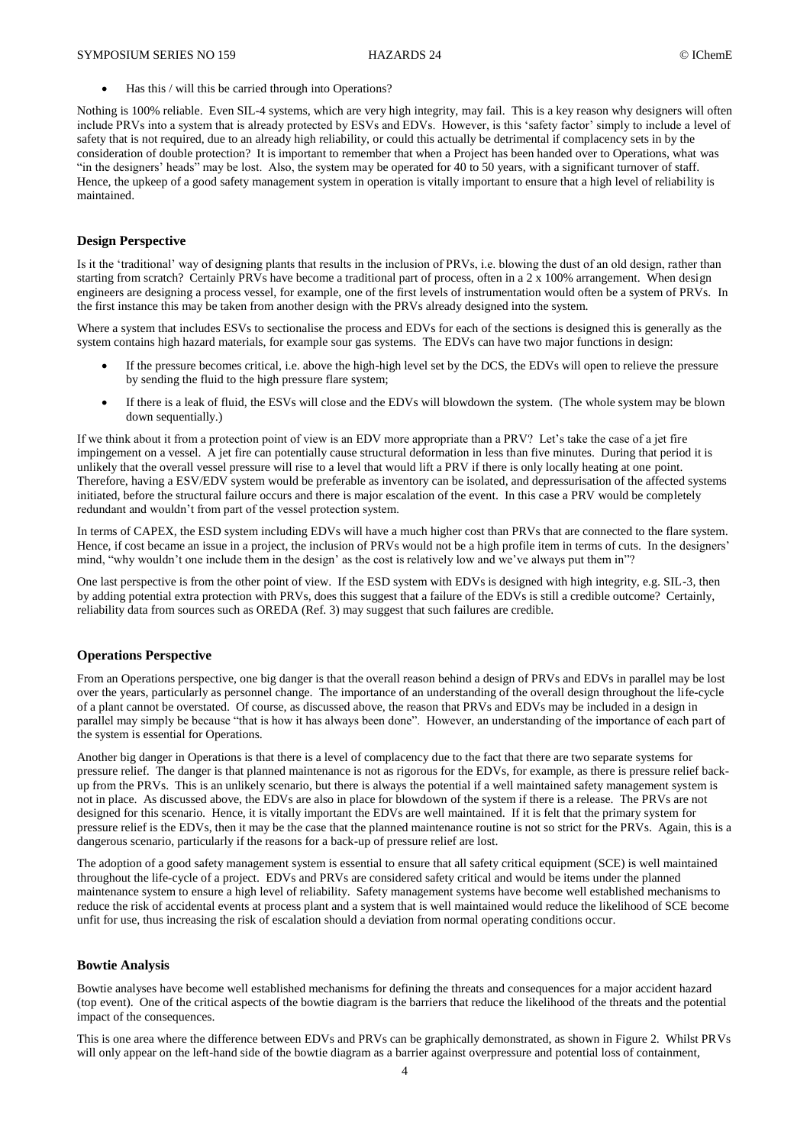Has this / will this be carried through into Operations?

Nothing is 100% reliable. Even SIL-4 systems, which are very high integrity, may fail. This is a key reason why designers will often include PRVs into a system that is already protected by ESVs and EDVs. However, is this 'safety factor' simply to include a level of safety that is not required, due to an already high reliability, or could this actually be detrimental if complacency sets in by the consideration of double protection? It is important to remember that when a Project has been handed over to Operations, what was "in the designers' heads" may be lost. Also, the system may be operated for 40 to 50 years, with a significant turnover of staff. Hence, the upkeep of a good safety management system in operation is vitally important to ensure that a high level of reliability is maintained.

#### **Design Perspective**

Is it the 'traditional' way of designing plants that results in the inclusion of PRVs, i.e. blowing the dust of an old design, rather than starting from scratch? Certainly PRVs have become a traditional part of process, often in a  $2 \times 100\%$  arrangement. When design engineers are designing a process vessel, for example, one of the first levels of instrumentation would often be a system of PRVs. In the first instance this may be taken from another design with the PRVs already designed into the system.

Where a system that includes ESVs to sectionalise the process and EDVs for each of the sections is designed this is generally as the system contains high hazard materials, for example sour gas systems. The EDVs can have two major functions in design:

- If the pressure becomes critical, i.e. above the high-high level set by the DCS, the EDVs will open to relieve the pressure by sending the fluid to the high pressure flare system;
- If there is a leak of fluid, the ESVs will close and the EDVs will blowdown the system. (The whole system may be blown down sequentially.)

If we think about it from a protection point of view is an EDV more appropriate than a PRV? Let's take the case of a jet fire impingement on a vessel. A jet fire can potentially cause structural deformation in less than five minutes. During that period it is unlikely that the overall vessel pressure will rise to a level that would lift a PRV if there is only locally heating at one point. Therefore, having a ESV/EDV system would be preferable as inventory can be isolated, and depressurisation of the affected systems initiated, before the structural failure occurs and there is major escalation of the event. In this case a PRV would be completely redundant and wouldn't from part of the vessel protection system.

In terms of CAPEX, the ESD system including EDVs will have a much higher cost than PRVs that are connected to the flare system. Hence, if cost became an issue in a project, the inclusion of PRVs would not be a high profile item in terms of cuts. In the designers' mind, "why wouldn't one include them in the design' as the cost is relatively low and we've always put them in"?

One last perspective is from the other point of view. If the ESD system with EDVs is designed with high integrity, e.g. SIL-3, then by adding potential extra protection with PRVs, does this suggest that a failure of the EDVs is still a credible outcome? Certainly, reliability data from sources such as OREDA (Ref. 3) may suggest that such failures are credible.

#### **Operations Perspective**

From an Operations perspective, one big danger is that the overall reason behind a design of PRVs and EDVs in parallel may be lost over the years, particularly as personnel change. The importance of an understanding of the overall design throughout the life-cycle of a plant cannot be overstated. Of course, as discussed above, the reason that PRVs and EDVs may be included in a design in parallel may simply be because "that is how it has always been done". However, an understanding of the importance of each part of the system is essential for Operations.

Another big danger in Operations is that there is a level of complacency due to the fact that there are two separate systems for pressure relief. The danger is that planned maintenance is not as rigorous for the EDVs, for example, as there is pressure relief backup from the PRVs. This is an unlikely scenario, but there is always the potential if a well maintained safety management system is not in place. As discussed above, the EDVs are also in place for blowdown of the system if there is a release. The PRVs are not designed for this scenario. Hence, it is vitally important the EDVs are well maintained. If it is felt that the primary system for pressure relief is the EDVs, then it may be the case that the planned maintenance routine is not so strict for the PRVs. Again, this is a dangerous scenario, particularly if the reasons for a back-up of pressure relief are lost.

The adoption of a good safety management system is essential to ensure that all safety critical equipment (SCE) is well maintained throughout the life-cycle of a project. EDVs and PRVs are considered safety critical and would be items under the planned maintenance system to ensure a high level of reliability. Safety management systems have become well established mechanisms to reduce the risk of accidental events at process plant and a system that is well maintained would reduce the likelihood of SCE become unfit for use, thus increasing the risk of escalation should a deviation from normal operating conditions occur.

#### **Bowtie Analysis**

Bowtie analyses have become well established mechanisms for defining the threats and consequences for a major accident hazard (top event). One of the critical aspects of the bowtie diagram is the barriers that reduce the likelihood of the threats and the potential impact of the consequences.

This is one area where the difference between EDVs and PRVs can be graphically demonstrated, as shown in Figure 2. Whilst PRVs will only appear on the left-hand side of the bowtie diagram as a barrier against overpressure and potential loss of containment,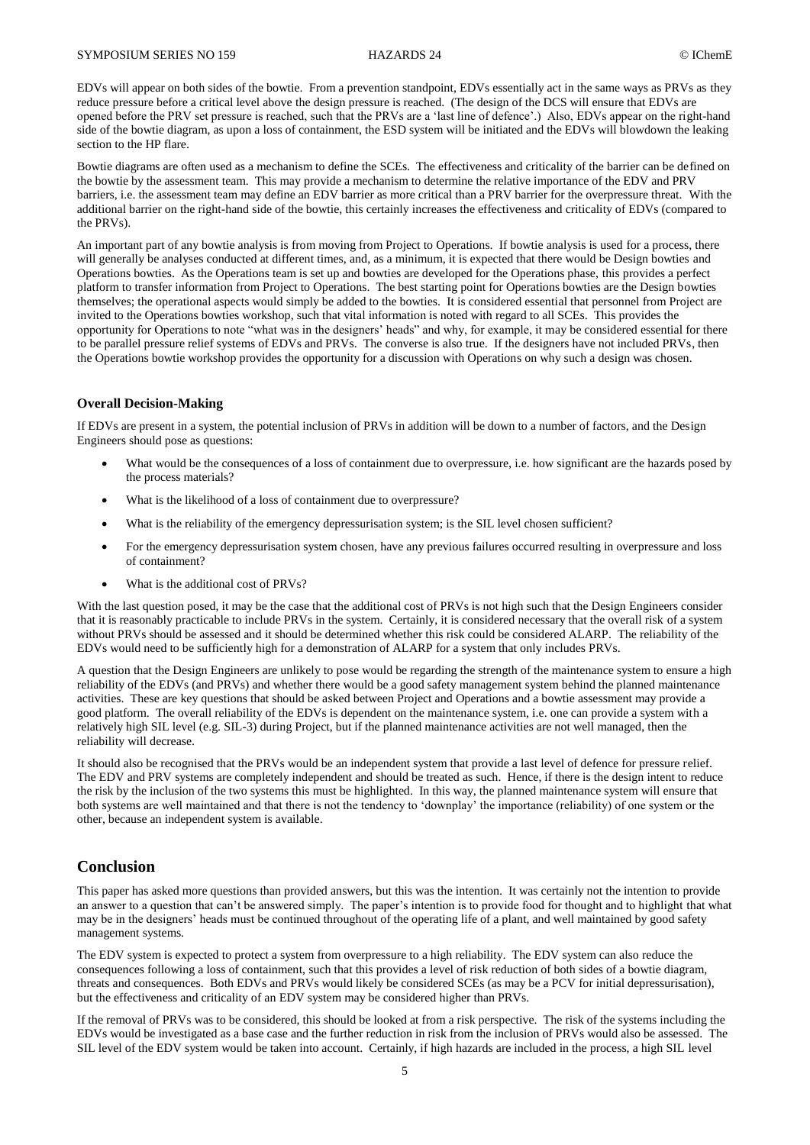EDVs will appear on both sides of the bowtie. From a prevention standpoint, EDVs essentially act in the same ways as PRVs as they reduce pressure before a critical level above the design pressure is reached. (The design of the DCS will ensure that EDVs are opened before the PRV set pressure is reached, such that the PRVs are a 'last line of defence'.) Also, EDVs appear on the right-hand side of the bowtie diagram, as upon a loss of containment, the ESD system will be initiated and the EDVs will blowdown the leaking section to the HP flare.

Bowtie diagrams are often used as a mechanism to define the SCEs. The effectiveness and criticality of the barrier can be defined on the bowtie by the assessment team. This may provide a mechanism to determine the relative importance of the EDV and PRV barriers, i.e. the assessment team may define an EDV barrier as more critical than a PRV barrier for the overpressure threat. With the additional barrier on the right-hand side of the bowtie, this certainly increases the effectiveness and criticality of EDVs (compared to the PRVs).

An important part of any bowtie analysis is from moving from Project to Operations. If bowtie analysis is used for a process, there will generally be analyses conducted at different times, and, as a minimum, it is expected that there would be Design bowties and Operations bowties. As the Operations team is set up and bowties are developed for the Operations phase, this provides a perfect platform to transfer information from Project to Operations. The best starting point for Operations bowties are the Design bowties themselves; the operational aspects would simply be added to the bowties. It is considered essential that personnel from Project are invited to the Operations bowties workshop, such that vital information is noted with regard to all SCEs. This provides the opportunity for Operations to note "what was in the designers' heads" and why, for example, it may be considered essential for there to be parallel pressure relief systems of EDVs and PRVs. The converse is also true. If the designers have not included PRVs, then the Operations bowtie workshop provides the opportunity for a discussion with Operations on why such a design was chosen.

#### **Overall Decision-Making**

If EDVs are present in a system, the potential inclusion of PRVs in addition will be down to a number of factors, and the Design Engineers should pose as questions:

- What would be the consequences of a loss of containment due to overpressure, i.e. how significant are the hazards posed by the process materials?
- What is the likelihood of a loss of containment due to overpressure?
- What is the reliability of the emergency depressurisation system; is the SIL level chosen sufficient?
- For the emergency depressurisation system chosen, have any previous failures occurred resulting in overpressure and loss of containment?
- What is the additional cost of PRVs?

With the last question posed, it may be the case that the additional cost of PRVs is not high such that the Design Engineers consider that it is reasonably practicable to include PRVs in the system. Certainly, it is considered necessary that the overall risk of a system without PRVs should be assessed and it should be determined whether this risk could be considered ALARP. The reliability of the EDVs would need to be sufficiently high for a demonstration of ALARP for a system that only includes PRVs.

A question that the Design Engineers are unlikely to pose would be regarding the strength of the maintenance system to ensure a high reliability of the EDVs (and PRVs) and whether there would be a good safety management system behind the planned maintenance activities. These are key questions that should be asked between Project and Operations and a bowtie assessment may provide a good platform. The overall reliability of the EDVs is dependent on the maintenance system, i.e. one can provide a system with a relatively high SIL level (e.g. SIL-3) during Project, but if the planned maintenance activities are not well managed, then the reliability will decrease.

It should also be recognised that the PRVs would be an independent system that provide a last level of defence for pressure relief. The EDV and PRV systems are completely independent and should be treated as such. Hence, if there is the design intent to reduce the risk by the inclusion of the two systems this must be highlighted. In this way, the planned maintenance system will ensure that both systems are well maintained and that there is not the tendency to 'downplay' the importance (reliability) of one system or the other, because an independent system is available.

## **Conclusion**

This paper has asked more questions than provided answers, but this was the intention. It was certainly not the intention to provide an answer to a question that can't be answered simply. The paper's intention is to provide food for thought and to highlight that what may be in the designers' heads must be continued throughout of the operating life of a plant, and well maintained by good safety management systems.

The EDV system is expected to protect a system from overpressure to a high reliability. The EDV system can also reduce the consequences following a loss of containment, such that this provides a level of risk reduction of both sides of a bowtie diagram, threats and consequences. Both EDVs and PRVs would likely be considered SCEs (as may be a PCV for initial depressurisation), but the effectiveness and criticality of an EDV system may be considered higher than PRVs.

If the removal of PRVs was to be considered, this should be looked at from a risk perspective. The risk of the systems including the EDVs would be investigated as a base case and the further reduction in risk from the inclusion of PRVs would also be assessed. The SIL level of the EDV system would be taken into account. Certainly, if high hazards are included in the process, a high SIL level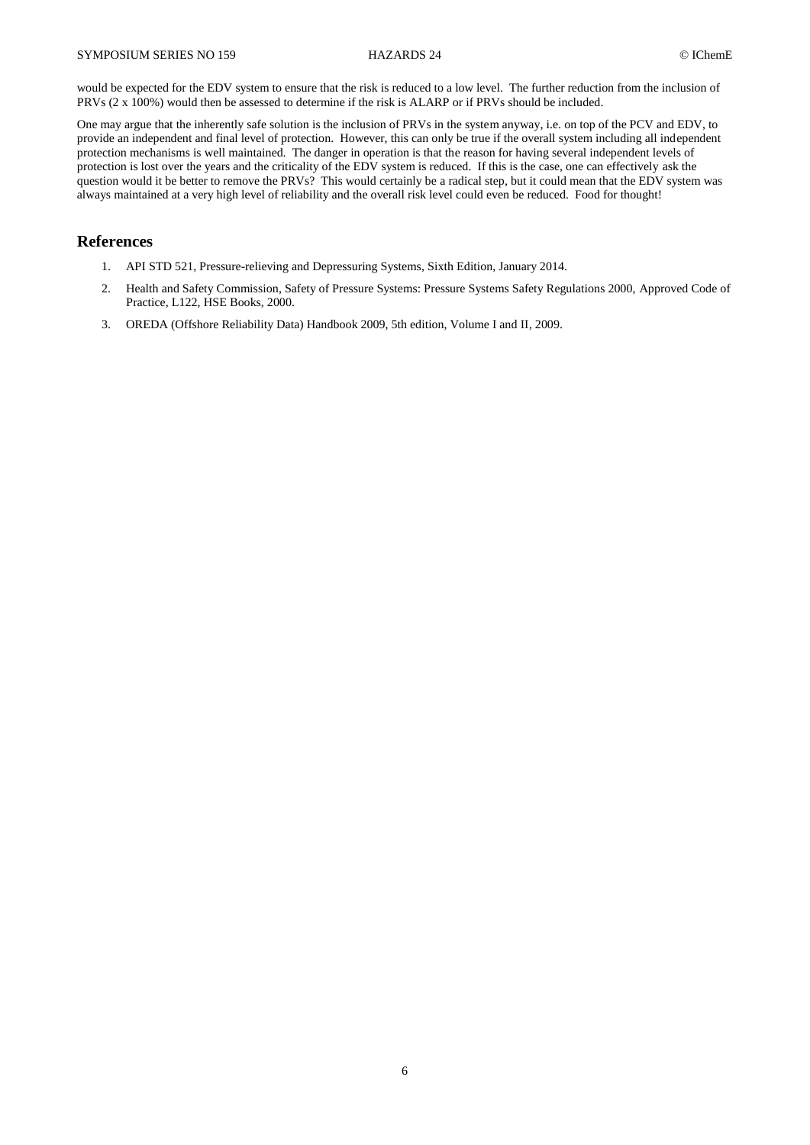would be expected for the EDV system to ensure that the risk is reduced to a low level. The further reduction from the inclusion of PRVs (2 x 100%) would then be assessed to determine if the risk is ALARP or if PRVs should be included.

One may argue that the inherently safe solution is the inclusion of PRVs in the system anyway, i.e. on top of the PCV and EDV, to provide an independent and final level of protection. However, this can only be true if the overall system including all independent protection mechanisms is well maintained. The danger in operation is that the reason for having several independent levels of protection is lost over the years and the criticality of the EDV system is reduced. If this is the case, one can effectively ask the question would it be better to remove the PRVs? This would certainly be a radical step, but it could mean that the EDV system was always maintained at a very high level of reliability and the overall risk level could even be reduced. Food for thought!

## **References**

- 1. API STD 521, Pressure-relieving and Depressuring Systems, Sixth Edition, January 2014.
- 2. Health and Safety Commission, Safety of Pressure Systems: Pressure Systems Safety Regulations 2000, Approved Code of Practice, L122, HSE Books, 2000.
- 3. OREDA (Offshore Reliability Data) Handbook 2009, 5th edition, Volume I and II, 2009.